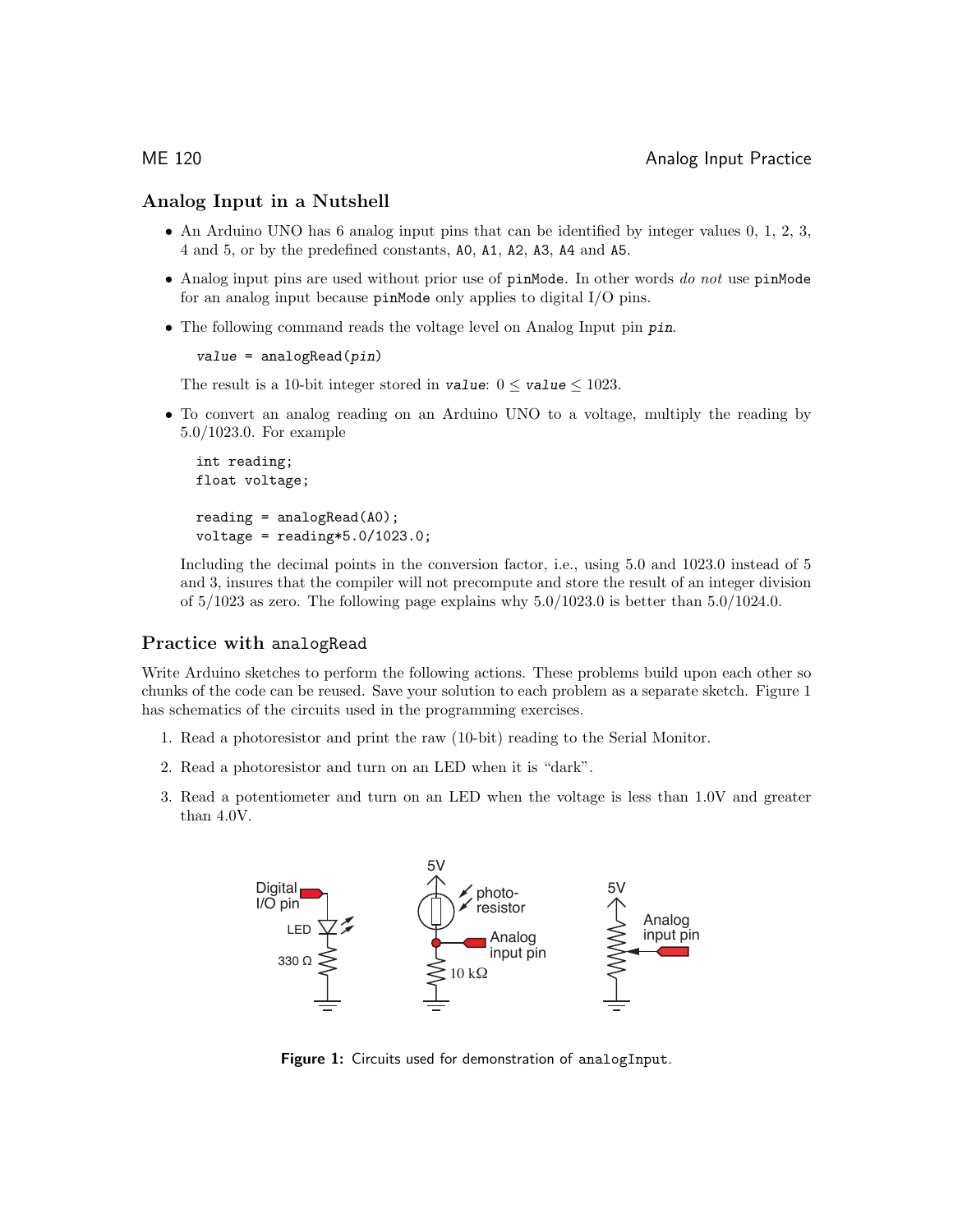### Analog Input in a Nutshell

- An Arduino UNO has 6 analog input pins that can be identified by integer values 0, 1, 2, 3, 4 and 5, or by the predefined constants, A0, A1, A2, A3, A4 and A5.
- Analog input pins are used without prior use of  $\mathsf{pinMode}$ . In other words do not use  $\mathsf{pinMode}$ for an analog input because pinMode only applies to digital I/O pins.
- The following command reads the voltage level on Analog Input pin pin.

```
value = analogRead(pin)
```
The result is a 10-bit integer stored in value:  $0 \le \text{value} \le 1023$ .

• To convert an analog reading on an Arduino UNO to a voltage, multiply the reading by 5.0/1023.0. For example

```
int reading;
float voltage;
reading = analogRead(AO);voltage = reading*5.0/1023.0;
```
Including the decimal points in the conversion factor, i.e., using 5.0 and 1023.0 instead of 5 and 3, insures that the compiler will not precompute and store the result of an integer division of  $5/1023$  as zero. The following page explains why  $5.0/1023.0$  is better than  $5.0/1024.0$ .

### Practice with analogRead

Write Arduino sketches to perform the following actions. These problems build upon each other so chunks of the code can be reused. Save your solution to each problem as a separate sketch. Figure 1 has schematics of the circuits used in the programming exercises.

- 1. Read a photoresistor and print the raw (10-bit) reading to the Serial Monitor.
- 2. Read a photoresistor and turn on an LED when it is "dark".
- 3. Read a potentiometer and turn on an LED when the voltage is less than 1.0V and greater than 4.0V.



Figure 1: Circuits used for demonstration of analogInput.